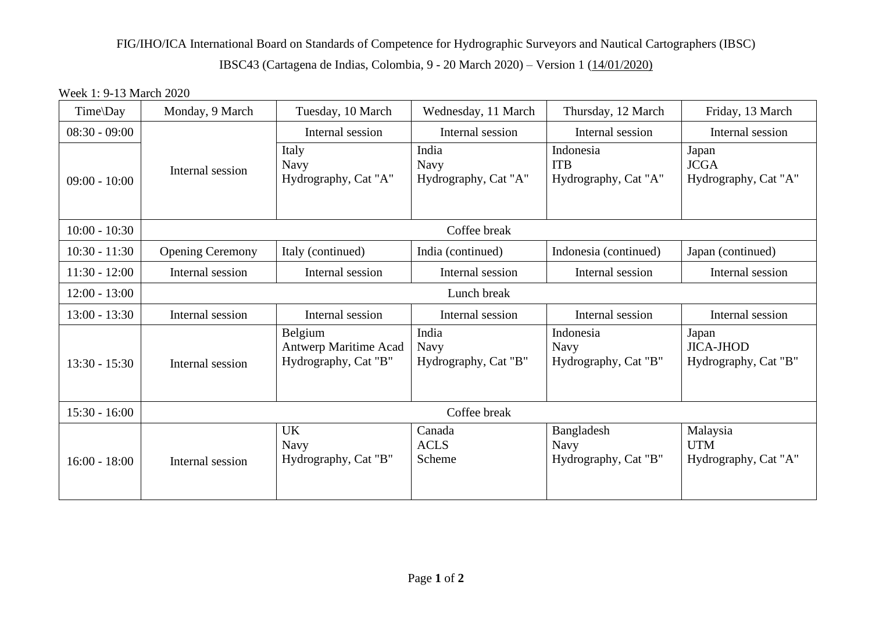## FIG/IHO/ICA International Board on Standards of Competence for Hydrographic Surveyors and Nautical Cartographers (IBSC) IBSC43 (Cartagena de Indias, Colombia, 9 - 20 March 2020) – Version 1 (14/01/2020)

## Week 1: 9-13 March 2020

| Time\Day        | Monday, 9 March         | Tuesday, 10 March                                               | Wednesday, 11 March                          | Thursday, 12 March                                | Friday, 13 March                                  |  |  |  |
|-----------------|-------------------------|-----------------------------------------------------------------|----------------------------------------------|---------------------------------------------------|---------------------------------------------------|--|--|--|
| $08:30 - 09:00$ |                         | Internal session                                                | Internal session                             | Internal session                                  | Internal session                                  |  |  |  |
| $09:00 - 10:00$ | Internal session        | Italy<br><b>Navy</b><br>Hydrography, Cat "A"                    | India<br><b>Navy</b><br>Hydrography, Cat "A" | Indonesia<br><b>ITB</b><br>Hydrography, Cat "A"   | Japan<br><b>JCGA</b><br>Hydrography, Cat "A"      |  |  |  |
| $10:00 - 10:30$ | Coffee break            |                                                                 |                                              |                                                   |                                                   |  |  |  |
| $10:30 - 11:30$ | <b>Opening Ceremony</b> | Italy (continued)                                               | India (continued)                            | Indonesia (continued)                             | Japan (continued)                                 |  |  |  |
| $11:30 - 12:00$ | Internal session        | Internal session                                                | Internal session                             | Internal session                                  | Internal session                                  |  |  |  |
| $12:00 - 13:00$ | Lunch break             |                                                                 |                                              |                                                   |                                                   |  |  |  |
| $13:00 - 13:30$ | Internal session        | Internal session                                                | Internal session                             | Internal session                                  | Internal session                                  |  |  |  |
| $13:30 - 15:30$ | Internal session        | Belgium<br><b>Antwerp Maritime Acad</b><br>Hydrography, Cat "B" | India<br><b>Navy</b><br>Hydrography, Cat "B" | Indonesia<br><b>Navy</b><br>Hydrography, Cat "B"  | Japan<br><b>JICA-JHOD</b><br>Hydrography, Cat "B" |  |  |  |
| $15:30 - 16:00$ | Coffee break            |                                                                 |                                              |                                                   |                                                   |  |  |  |
| $16:00 - 18:00$ | Internal session        | <b>UK</b><br><b>Navy</b><br>Hydrography, Cat "B"                | Canada<br><b>ACLS</b><br>Scheme              | Bangladesh<br><b>Navy</b><br>Hydrography, Cat "B" | Malaysia<br><b>UTM</b><br>Hydrography, Cat "A"    |  |  |  |